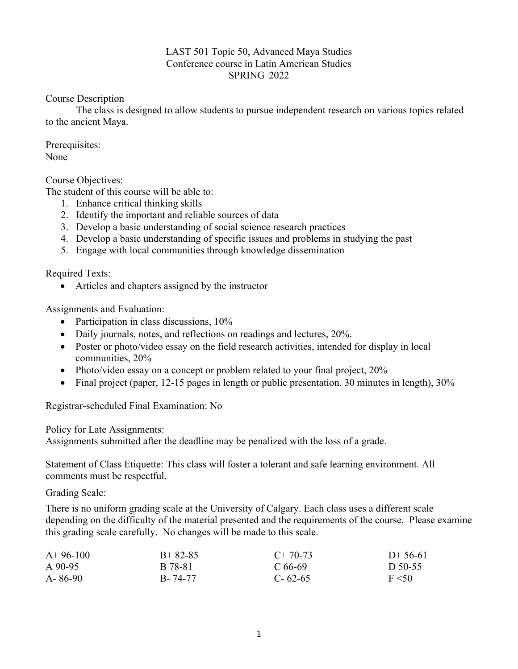#### LAST 501 Topic 50, Advanced Maya Studies Conference course in Latin American Studies SPRING 2022

Course Description

The class is designed to allow students to pursue independent research on various topics related to the ancient Maya.

Prerequisites: None

Course Objectives:

The student of this course will be able to:

- 1. Enhance critical thinking skills
- 2. Identify the important and reliable sources of data
- 3. Develop a basic understanding of social science research practices
- 4. Develop a basic understanding of specific issues and problems in studying the past
- 5. Engage with local communities through knowledge dissemination

Required Texts:

• Articles and chapters assigned by the instructor

Assignments and Evaluation:

- Participation in class discussions, 10%
- Daily journals, notes, and reflections on readings and lectures, 20%.
- Poster or photo/video essay on the field research activities, intended for display in local communities, 20%
- Photo/video essay on a concept or problem related to your final project, 20%
- Final project (paper, 12-15 pages in length or public presentation, 30 minutes in length), 30%

Registrar-scheduled Final Examination: No

Policy for Late Assignments:

Assignments submitted after the deadline may be penalized with the loss of a grade.

Statement of Class Etiquette: This class will foster a tolerant and safe learning environment. All comments must be respectful.

Grading Scale:

There is no uniform grading scale at the University of Calgary. Each class uses a different scale depending on the difficulty of the material presented and the requirements of the course. Please examine this grading scale carefully. No changes will be made to this scale.

| $A+96-100$ | $B+82-85$ | $C+70-73$     | $D+56-61$ |
|------------|-----------|---------------|-----------|
| A 90-95    | B 78-81   | C 66-69       | D 50-55   |
| A-86-90    | B-74-77   | $C - 62 - 65$ | F < 50    |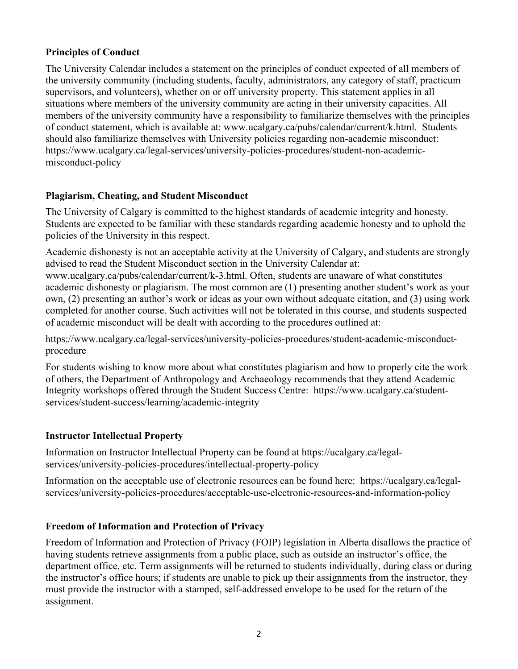## **Principles of Conduct**

The University Calendar includes a statement on the principles of conduct expected of all members of the university community (including students, faculty, administrators, any category of staff, practicum supervisors, and volunteers), whether on or off university property. This statement applies in all situations where members of the university community are acting in their university capacities. All members of the university community have a responsibility to familiarize themselves with the principles of conduct statement, which is available at: www.ucalgary.ca/pubs/calendar/current/k.html. Students should also familiarize themselves with University policies regarding non-academic misconduct: https://www.ucalgary.ca/legal-services/university-policies-procedures/student-non-academicmisconduct-policy

## **Plagiarism, Cheating, and Student Misconduct**

The University of Calgary is committed to the highest standards of academic integrity and honesty. Students are expected to be familiar with these standards regarding academic honesty and to uphold the policies of the University in this respect.

Academic dishonesty is not an acceptable activity at the University of Calgary, and students are strongly advised to read the Student Misconduct section in the University Calendar at: www.ucalgary.ca/pubs/calendar/current/k-3.html. Often, students are unaware of what constitutes academic dishonesty or plagiarism. The most common are (1) presenting another student's work as your own, (2) presenting an author's work or ideas as your own without adequate citation, and (3) using work completed for another course. Such activities will not be tolerated in this course, and students suspected of academic misconduct will be dealt with according to the procedures outlined at:

https://www.ucalgary.ca/legal-services/university-policies-procedures/student-academic-misconductprocedure

For students wishing to know more about what constitutes plagiarism and how to properly cite the work of others, the Department of Anthropology and Archaeology recommends that they attend Academic Integrity workshops offered through the Student Success Centre: https://www.ucalgary.ca/studentservices/student-success/learning/academic-integrity

# **Instructor Intellectual Property**

Information on Instructor Intellectual Property can be found at https://ucalgary.ca/legalservices/university-policies-procedures/intellectual-property-policy

Information on the acceptable use of electronic resources can be found here: https://ucalgary.ca/legalservices/university-policies-procedures/acceptable-use-electronic-resources-and-information-policy

# **Freedom of Information and Protection of Privacy**

Freedom of Information and Protection of Privacy (FOIP) legislation in Alberta disallows the practice of having students retrieve assignments from a public place, such as outside an instructor's office, the department office, etc. Term assignments will be returned to students individually, during class or during the instructor's office hours; if students are unable to pick up their assignments from the instructor, they must provide the instructor with a stamped, self-addressed envelope to be used for the return of the assignment.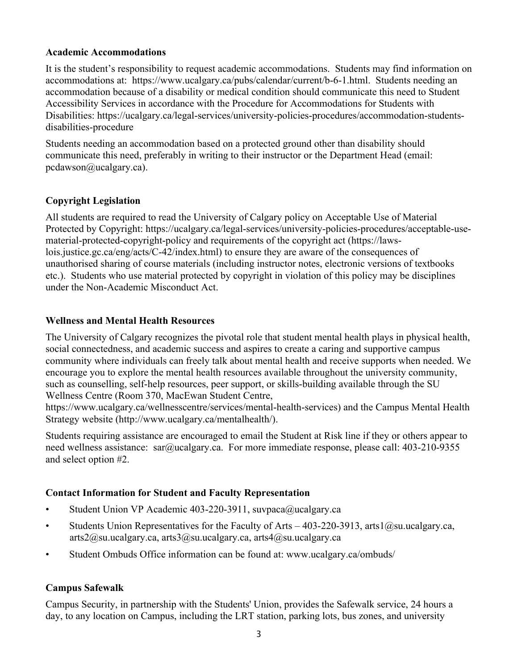#### **Academic Accommodations**

It is the student's responsibility to request academic accommodations. Students may find information on accommodations at: https://www.ucalgary.ca/pubs/calendar/current/b-6-1.html. Students needing an accommodation because of a disability or medical condition should communicate this need to Student Accessibility Services in accordance with the Procedure for Accommodations for Students with Disabilities: https://ucalgary.ca/legal-services/university-policies-procedures/accommodation-studentsdisabilities-procedure

Students needing an accommodation based on a protected ground other than disability should communicate this need, preferably in writing to their instructor or the Department Head (email: pcdawson@ucalgary.ca).

## **Copyright Legislation**

All students are required to read the University of Calgary policy on Acceptable Use of Material Protected by Copyright: https://ucalgary.ca/legal-services/university-policies-procedures/acceptable-usematerial-protected-copyright-policy and requirements of the copyright act (https://lawslois.justice.gc.ca/eng/acts/C-42/index.html) to ensure they are aware of the consequences of unauthorised sharing of course materials (including instructor notes, electronic versions of textbooks etc.). Students who use material protected by copyright in violation of this policy may be disciplines under the Non-Academic Misconduct Act.

#### **Wellness and Mental Health Resources**

The University of Calgary recognizes the pivotal role that student mental health plays in physical health, social connectedness, and academic success and aspires to create a caring and supportive campus community where individuals can freely talk about mental health and receive supports when needed. We encourage you to explore the mental health resources available throughout the university community, such as counselling, self-help resources, peer support, or skills-building available through the SU Wellness Centre (Room 370, MacEwan Student Centre,

https://www.ucalgary.ca/wellnesscentre/services/mental-health-services) and the Campus Mental Health Strategy website (http://www.ucalgary.ca/mentalhealth/).

Students requiring assistance are encouraged to email the Student at Risk line if they or others appear to need wellness assistance: sar@ucalgary.ca. For more immediate response, please call: 403-210-9355 and select option #2.

## **Contact Information for Student and Faculty Representation**

- Student Union VP Academic 403-220-3911, suvpaca@ucalgary.ca
- Students Union Representatives for the Faculty of Arts  $-403-220-3913$ , arts $1@su.ucalg$ arts2@su.ucalgary.ca, arts3@su.ucalgary.ca, arts4@su.ucalgary.ca
- Student Ombuds Office information can be found at: www.ucalgary.ca/ombuds/

## **Campus Safewalk**

Campus Security, in partnership with the Students' Union, provides the Safewalk service, 24 hours a day, to any location on Campus, including the LRT station, parking lots, bus zones, and university